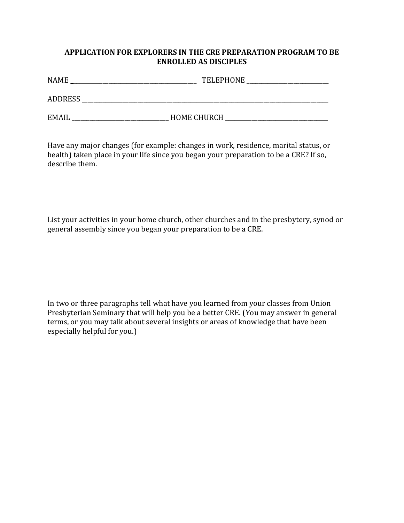## **APPLICATION FOR EXPLORERS IN THE CRE PREPARATION PROGRAM TO BE ENROLLED AS DISCIPLES**

| <b>NAME</b>    | <b>TELEPHONE</b>   |
|----------------|--------------------|
| <b>ADDRESS</b> |                    |
| <b>EMAIL</b>   | <b>HOME CHURCH</b> |

Have any major changes (for example: changes in work, residence, marital status, or health) taken place in your life since you began your preparation to be a CRE? If so, describe them.

List your activities in your home church, other churches and in the presbytery, synod or general assembly since you began your preparation to be a CRE.

In two or three paragraphs tell what have you learned from your classes from Union Presbyterian Seminary that will help you be a better CRE. (You may answer in general terms, or you may talk about several insights or areas of knowledge that have been especially helpful for you.)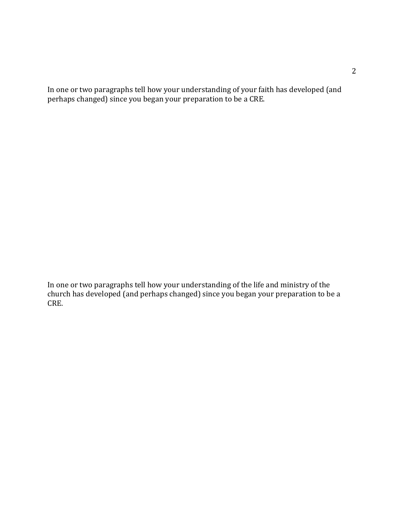In one or two paragraphs tell how your understanding of your faith has developed (and perhaps changed) since you began your preparation to be a CRE.

In one or two paragraphs tell how your understanding of the life and ministry of the church has developed (and perhaps changed) since you began your preparation to be a CRE.